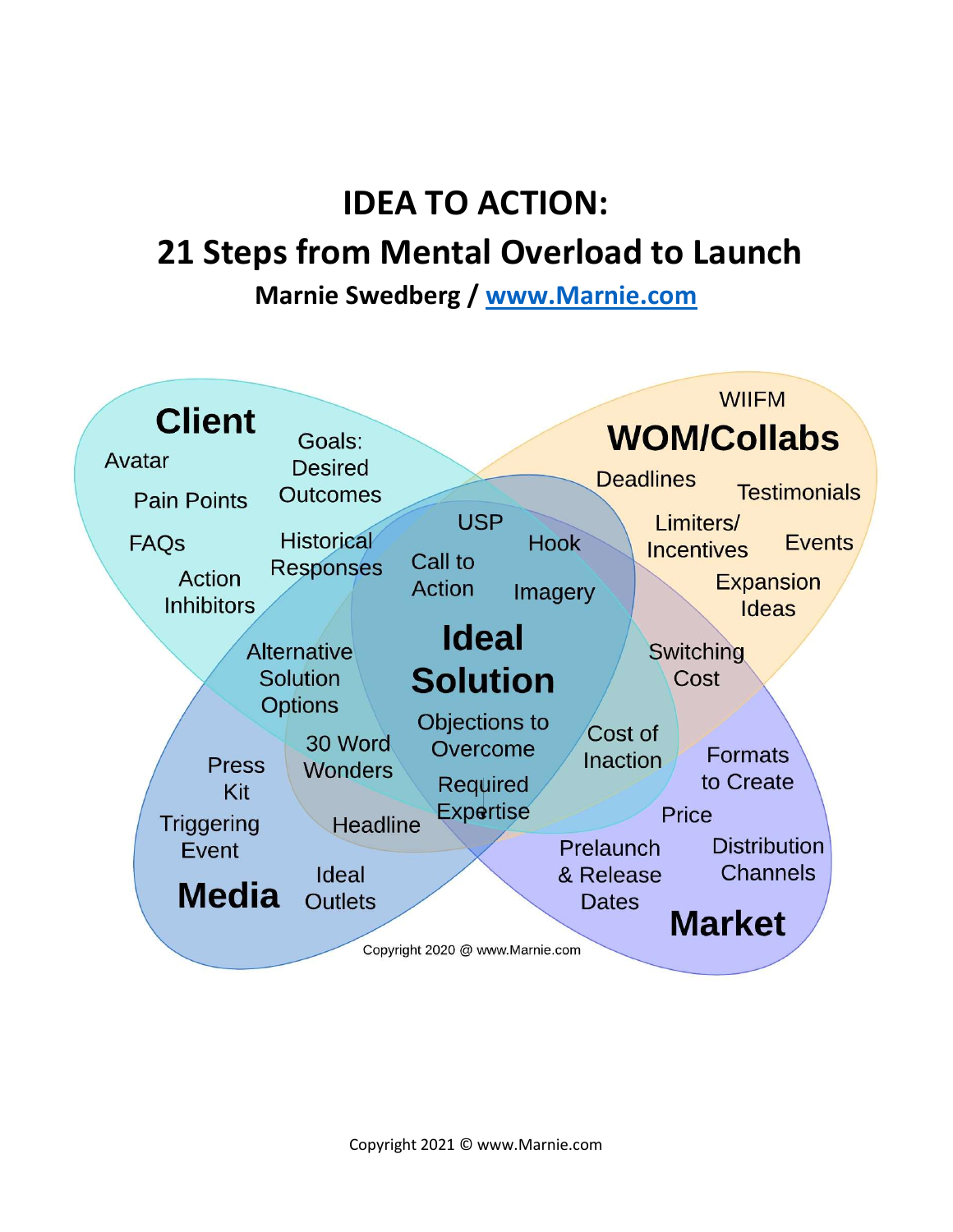# IDEA TO ACTION:

### 21 Steps from Mental Overload to Launch

Marnie Swedberg / www.Marnie.com

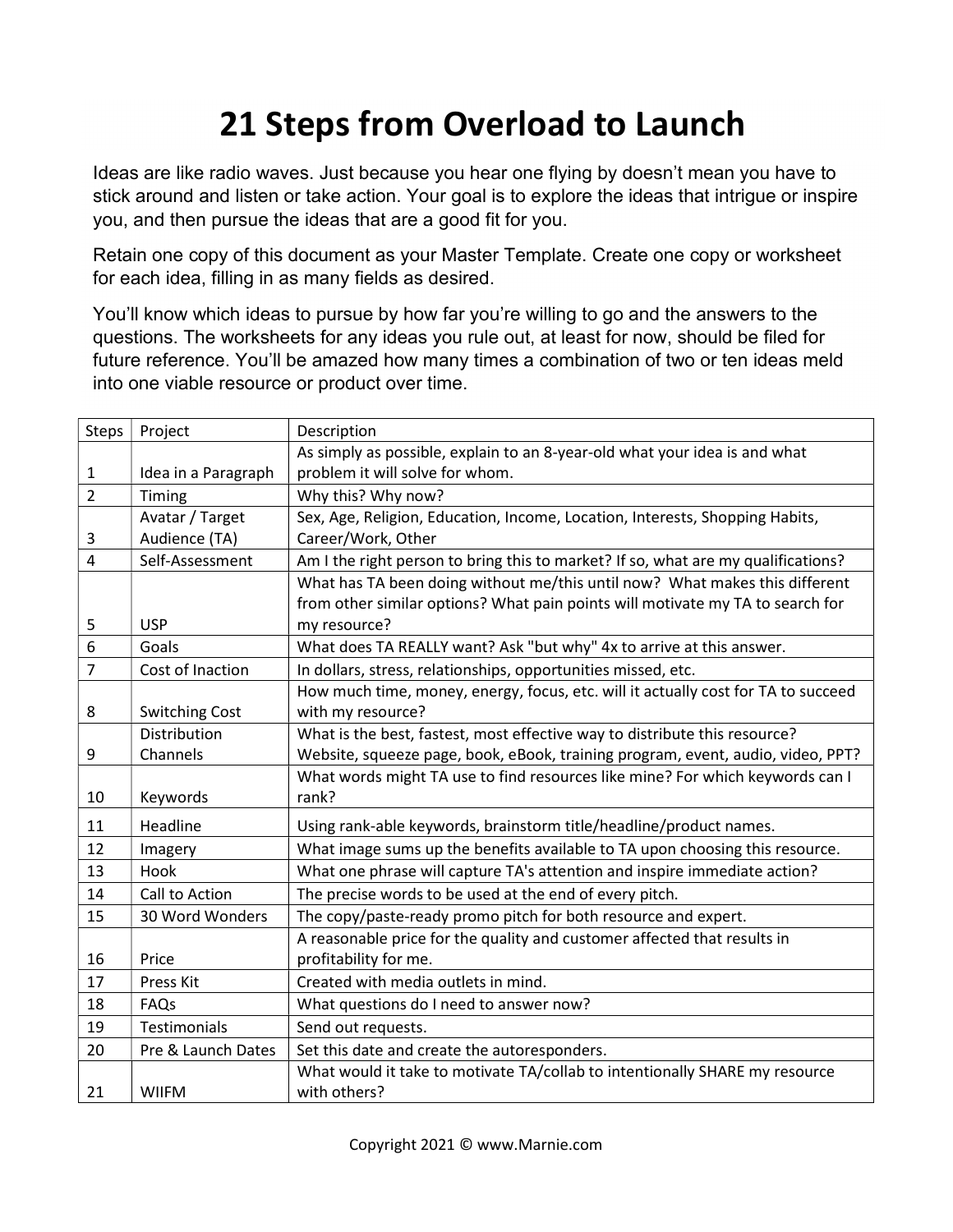## 21 Steps from Overload to Launch

Ideas are like radio waves. Just because you hear one flying by doesn't mean you have to stick around and listen or take action. Your goal is to explore the ideas that intrigue or inspire you, and then pursue the ideas that are a good fit for you.

Retain one copy of this document as your Master Template. Create one copy or worksheet for each idea, filling in as many fields as desired.

You'll know which ideas to pursue by how far you're willing to go and the answers to the questions. The worksheets for any ideas you rule out, at least for now, should be filed for future reference. You'll be amazed how many times a combination of two or ten ideas meld into one viable resource or product over time.

| Steps                   | Project               | Description                                                                       |
|-------------------------|-----------------------|-----------------------------------------------------------------------------------|
|                         |                       | As simply as possible, explain to an 8-year-old what your idea is and what        |
| 1                       | Idea in a Paragraph   | problem it will solve for whom.                                                   |
| $\overline{2}$          | Timing                | Why this? Why now?                                                                |
|                         | Avatar / Target       | Sex, Age, Religion, Education, Income, Location, Interests, Shopping Habits,      |
| 3                       | Audience (TA)         | Career/Work, Other                                                                |
| $\overline{\mathbf{4}}$ | Self-Assessment       | Am I the right person to bring this to market? If so, what are my qualifications? |
|                         |                       | What has TA been doing without me/this until now? What makes this different       |
|                         |                       | from other similar options? What pain points will motivate my TA to search for    |
| 5                       | <b>USP</b>            | my resource?                                                                      |
| 6                       | Goals                 | What does TA REALLY want? Ask "but why" 4x to arrive at this answer.              |
| $\overline{7}$          | Cost of Inaction      | In dollars, stress, relationships, opportunities missed, etc.                     |
|                         |                       | How much time, money, energy, focus, etc. will it actually cost for TA to succeed |
| 8                       | <b>Switching Cost</b> | with my resource?                                                                 |
|                         | Distribution          | What is the best, fastest, most effective way to distribute this resource?        |
| 9                       | Channels              | Website, squeeze page, book, eBook, training program, event, audio, video, PPT?   |
|                         |                       | What words might TA use to find resources like mine? For which keywords can I     |
| 10                      | Keywords              | rank?                                                                             |
| 11                      | Headline              | Using rank-able keywords, brainstorm title/headline/product names.                |
| 12                      | Imagery               | What image sums up the benefits available to TA upon choosing this resource.      |
| 13                      | Hook                  | What one phrase will capture TA's attention and inspire immediate action?         |
| 14                      | Call to Action        | The precise words to be used at the end of every pitch.                           |
| 15                      | 30 Word Wonders       | The copy/paste-ready promo pitch for both resource and expert.                    |
|                         |                       | A reasonable price for the quality and customer affected that results in          |
| 16                      | Price                 | profitability for me.                                                             |
| 17                      | <b>Press Kit</b>      | Created with media outlets in mind.                                               |
| 18                      | FAQs                  | What questions do I need to answer now?                                           |
| 19                      | Testimonials          | Send out requests.                                                                |
| 20                      | Pre & Launch Dates    | Set this date and create the autoresponders.                                      |
|                         |                       | What would it take to motivate TA/collab to intentionally SHARE my resource       |
| 21                      | <b>WIIFM</b>          | with others?                                                                      |